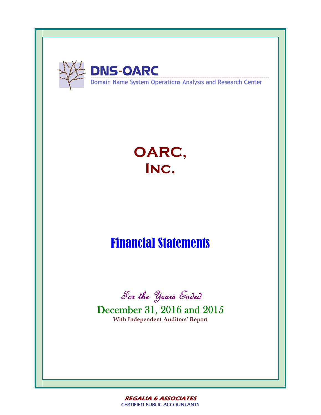

# **OARC, Inc.**

# Financial Statements



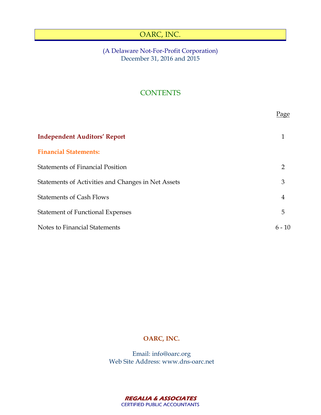# (A Delaware Not-For-Profit Corporation) December 31, 2016 and 2015

# **CONTENTS**

|                                                    | Page     |
|----------------------------------------------------|----------|
| <b>Independent Auditors' Report</b>                |          |
| <b>Financial Statements:</b>                       |          |
| <b>Statements of Financial Position</b>            | 2        |
| Statements of Activities and Changes in Net Assets | 3        |
| <b>Statements of Cash Flows</b>                    | 4        |
| <b>Statement of Functional Expenses</b>            | 5        |
| Notes to Financial Statements                      | $6 - 10$ |

# **OARC, INC.**

Email: info@oarc.org Web Site Address: www.dns-oarc.net

> **REGALIA & ASSOCIATES**  *CERTIFIED PUBLIC ACCOUNTANTS CERTIFIED PUBLIC ACCOUNTANTS*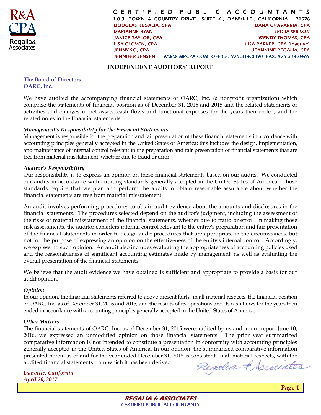

*C E R T I F I E D P U B L I C A C C O U N T A N T S 1 0 3 TOWN & COUNTRY DRIVE , SUITE K , DANVILLE , CALIFORNIA 94526 DOUGLAS REGALIA, CP A DANA CHAVARRIA, CPA MARIANNE RYAN TRICIA WILSON JANICE TAYLOR, C PA WENDY THOMAS , CPA LISA CLOVEN, CPA LISA PARKER, CPA [inactive] JENNY S O, CPA JEANNINE REGALIA, CPA JENNIFER JENS EN WWW.MRCPA.COM OFFICE: 925.314.0390 FAX: 925.314.0469*

#### **INDEPENDENT AUDITORS' REPORT**

#### **The Board of Directors OARC, Inc.**

We have audited the accompanying financial statements of OARC, Inc. (a nonprofit organization) which comprise the statements of financial position as of December 31, 2016 and 2015 and the related statements of activities and changes in net assets, cash flows and functional expenses for the years then ended, and the related notes to the financial statements.

## *Management's Responsibility for the Financial Statements*

Management is responsible for the preparation and fair presentation of these financial statements in accordance with accounting principles generally accepted in the United States of America; this includes the design, implementation, and maintenance of internal control relevant to the preparation and fair presentation of financial statements that are free from material misstatement, whether due to fraud or error.

## *Auditor's Responsibility*

Our responsibility is to express an opinion on these financial statements based on our audits. We conducted our audits in accordance with auditing standards generally accepted in the United States of America. Those standards require that we plan and perform the audits to obtain reasonable assurance about whether the financial statements are free from material misstatement.

An audit involves performing procedures to obtain audit evidence about the amounts and disclosures in the financial statements. The procedures selected depend on the auditor's judgment, including the assessment of the risks of material misstatement of the financial statements, whether due to fraud or error. In making those risk assessments, the auditor considers internal control relevant to the entity's preparation and fair presentation of the financial statements in order to design audit procedures that are appropriate in the circumstances, but not for the purpose of expressing an opinion on the effectiveness of the entity's internal control. Accordingly, we express no such opinion. An audit also includes evaluating the appropriateness of accounting policies used and the reasonableness of significant accounting estimates made by management, as well as evaluating the overall presentation of the financial statements.

We believe that the audit evidence we have obtained is sufficient and appropriate to provide a basis for our audit opinion.

## *Opinion*

In our opinion, the financial statements referred to above present fairly, in all material respects, the financial position of OARC, Inc. as of December 31, 2016 and 2015, and the results of its operations and its cash flows for the years then ended in accordance with accounting principles generally accepted in the United States of America.

## *Other Matters*

The financial statements of OARC, Inc. as of December 31, 2015 were audited by us and in our report June 10, 2016, we expressed an unmodified opinion on those financial statements. The prior year summarized comparative information is not intended to constitute a presentation in conformity with accounting principles generally accepted in the United States of America. In our opinion, the summarized comparative information presented herein as of and for the year ended December 31, 2015 is consistent, in all material respects, with the audited financial statements from which it has been derived.

*Danville, California April 20, 2017* 

Regalia & Systeates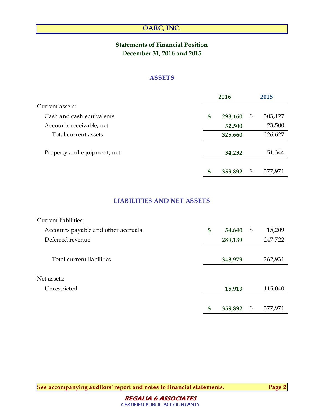# **Statements of Financial Position December 31, 2016 and 2015**

# **ASSETS**

|                             | 2016          |    | 2015    |  |
|-----------------------------|---------------|----|---------|--|
| Current assets:             |               |    |         |  |
| Cash and cash equivalents   | \$<br>293,160 | \$ | 303,127 |  |
| Accounts receivable, net    | 32,500        |    | 23,500  |  |
| Total current assets        | 325,660       |    | 326,627 |  |
| Property and equipment, net | 34,232        |    | 51,344  |  |
|                             | \$<br>359,892 | \$ | 377,971 |  |

# **LIABILITIES AND NET ASSETS**

| Current liabilities:                |               |               |
|-------------------------------------|---------------|---------------|
| Accounts payable and other accruals | \$<br>54,840  | \$<br>15,209  |
| Deferred revenue                    | 289,139       | 247,722       |
|                                     |               |               |
| Total current liabilities           | 343,979       | 262,931       |
|                                     |               |               |
| Net assets:                         |               |               |
| Unrestricted                        | 15,913        | 115,040       |
|                                     |               |               |
|                                     | \$<br>359,892 | \$<br>377,971 |

**See accompanying auditors' report and notes to financial statements. Page 2**

**REGALIA & ASSOCIATES**  *CERTIFIED PUBLIC ACCOUNTANTS CERTIFIED PUBLIC ACCOUNTANTS*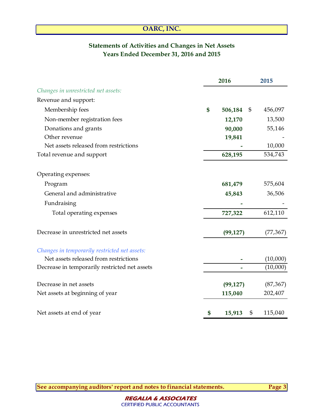# **Statements of Activities and Changes in Net Assets Years Ended December 31, 2016 and 2015**

|                                               | 2016          | 2015          |
|-----------------------------------------------|---------------|---------------|
| Changes in unrestricted net assets:           |               |               |
| Revenue and support:                          |               |               |
| Membership fees                               | \$<br>506,184 | \$<br>456,097 |
| Non-member registration fees                  | 12,170        | 13,500        |
| Donations and grants                          | 90,000        | 55,146        |
| Other revenue                                 | 19,841        |               |
| Net assets released from restrictions         |               | 10,000        |
| Total revenue and support                     | 628,195       | 534,743       |
| Operating expenses:                           |               |               |
| Program                                       | 681,479       | 575,604       |
| General and administrative                    | 45,843        | 36,506        |
| Fundraising                                   |               |               |
| Total operating expenses                      | 727,322       | 612,110       |
| Decrease in unrestricted net assets           | (99, 127)     | (77, 367)     |
| Changes in temporarily restricted net assets: |               |               |
| Net assets released from restrictions         |               | (10,000)      |
| Decrease in temporarily restricted net assets |               | (10,000)      |
| Decrease in net assets                        | (99, 127)     | (87, 367)     |
| Net assets at beginning of year               | 115,040       | 202,407       |
| Net assets at end of year                     | \$<br>15,913  | \$<br>115,040 |

**See accompanying auditors' report and notes to financial statements. Page 3**

**REGALIA & ASSOCIATES**  *CERTIFIED PUBLIC ACCOUNTANTS CERTIFIED PUBLIC ACCOUNTANTS*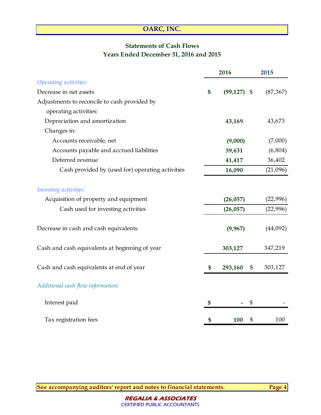# **Statements of Cash Flows Years Ended December 31, 2016 and 2015**

|                                                  | 2016            |     | 2015      |
|--------------------------------------------------|-----------------|-----|-----------|
| Operating activities:                            |                 |     |           |
| Decrease in net assets                           | \$<br>(99, 127) | -\$ | (87, 367) |
| Adjustments to reconcile to cash provided by     |                 |     |           |
| operating activities:                            |                 |     |           |
| Depreciation and amortization                    | 43,169          |     | 43,673    |
| Changes in:                                      |                 |     |           |
| Accounts receivable, net                         | (9,000)         |     | (7,000)   |
| Accounts payable and accrued liabilities         | 39,631          |     | (6, 804)  |
| Deferred revenue                                 | 41,417          |     | 36,402    |
| Cash provided by (used for) operating activities | 16,090          |     | (21,096)  |
| Investing activities:                            |                 |     |           |
| Acquisition of property and equipment            | (26, 057)       |     | (22,996)  |
| Cash used for investing activities               | (26, 057)       |     | (22,996)  |
| Decrease in cash and cash equivalents            | (9,967)         |     | (44,092)  |
| Cash and cash equivalents at beginning of year   | 303,127         |     | 347,219   |
| Cash and cash equivalents at end of year         | \$<br>293,160   | \$  | 303,127   |
| Additional cash flow information:                |                 |     |           |
| Interest paid                                    | \$              | \$  |           |
| Tax registration fees                            | \$<br>100       | \$  | 100       |

**See accompanying auditors' report and notes to financial statements. Page 4**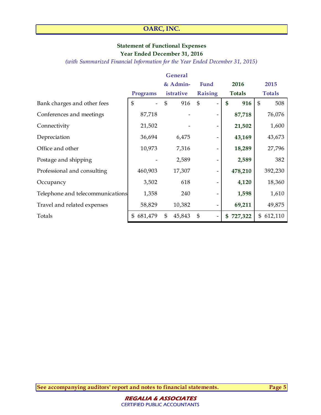## **Statement of Functional Expenses Year Ended December 31, 2016**

*(with Summarized Financial Information for the Year Ended December 31, 2015)*

|                                  |               | <b>General</b> |                |               |                       |
|----------------------------------|---------------|----------------|----------------|---------------|-----------------------|
|                                  |               | & Admin-       | Fund           | 2016          | 2015                  |
|                                  | Programs      | istrative      | <b>Raising</b> | <b>Totals</b> | <b>Totals</b>         |
| Bank charges and other fees      | \$            | \$<br>916      | $\mathfrak{S}$ | \$<br>916     | $\mathfrak{S}$<br>508 |
| Conferences and meetings         | 87,718        |                |                | 87,718        | 76,076                |
| Connectivity                     | 21,502        |                |                | 21,502        | 1,600                 |
| Depreciation                     | 36,694        | 6,475          |                | 43,169        | 43,673                |
| Office and other                 | 10,973        | 7,316          |                | 18,289        | 27,796                |
| Postage and shipping             |               | 2,589          |                | 2,589         | 382                   |
| Professional and consulting      | 460,903       | 17,307         |                | 478,210       | 392,230               |
| Occupancy                        | 3,502         | 618            |                | 4,120         | 18,360                |
| Telephone and telecommunications | 1,358         | 240            |                | 1,598         | 1,610                 |
| Travel and related expenses      | 58,829        | 10,382         |                | 69,211        | 49,875                |
| Totals                           | 681,479<br>\$ | \$<br>45,843   | \$             | 727,322<br>\$ | 612,110<br>\$         |

**See accompanying auditors' report and notes to financial statements. Page 5**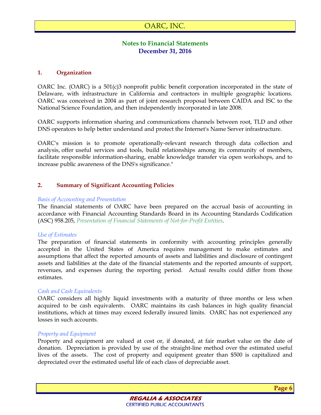# **Notes to Financial Statements December 31, 2016**

#### **1. Organization**

OARC Inc. (OARC) is a 501(c)3 nonprofit public benefit corporation incorporated in the state of Delaware, with infrastructure in California and contractors in multiple geographic locations. OARC was conceived in 2004 as part of joint research proposal between CAIDA and ISC to the National Science Foundation, and then independently incorporated in late 2008.

OARC supports information sharing and communications channels between root, TLD and other DNS operators to help better understand and protect the Internet's Name Server infrastructure.

OARC's mission is to promote operationally-relevant research through data collection and analysis, offer useful services and tools, build relationships among its community of members, facilitate responsible information-sharing, enable knowledge transfer via open workshops, and to increase public awareness of the DNS's significance."

## **2. Summary of Significant Accounting Policies**

#### *Basis of Accounting and Presentation*

The financial statements of OARC have been prepared on the accrual basis of accounting in accordance with Financial Accounting Standards Board in its Accounting Standards Codification (ASC) 958.205, *Presentation of Financial Statements of Not-for-Profit Entities*.

#### *Use of Estimates*

The preparation of financial statements in conformity with accounting principles generally accepted in the United States of America requires management to make estimates and assumptions that affect the reported amounts of assets and liabilities and disclosure of contingent assets and liabilities at the date of the financial statements and the reported amounts of support, revenues, and expenses during the reporting period. Actual results could differ from those estimates.

#### *Cash and Cash Equivalents*

OARC considers all highly liquid investments with a maturity of three months or less when acquired to be cash equivalents. OARC maintains its cash balances in high quality financial institutions, which at times may exceed federally insured limits. OARC has not experienced any losses in such accounts.

#### *Property and Equipment*

Property and equipment are valued at cost or, if donated, at fair market value on the date of donation. Depreciation is provided by use of the straight-line method over the estimated useful lives of the assets. The cost of property and equipment greater than \$500 is capitalized and depreciated over the estimated useful life of each class of depreciable asset.

**Page 6**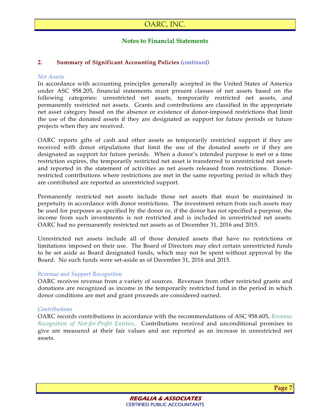## **Notes to Financial Statements**

## **2. Summary of Significant Accounting Policies** *(continued)*

#### *Net Assets*

In accordance with accounting principles generally accepted in the United States of America under ASC 958.205, financial statements must present classes of net assets based on the following categories: unrestricted net assets, temporarily restricted net assets, and permanently restricted net assets. Grants and contributions are classified in the appropriate net asset category based on the absence or existence of donor-imposed restrictions that limit the use of the donated assets if they are designated as support for future periods or future projects when they are received.

OARC reports gifts of cash and other assets as temporarily restricted support if they are received with donor stipulations that limit the use of the donated assets or if they are designated as support for future periods. When a donor's intended purpose is met or a time restriction expires, the temporarily restricted net asset is transferred to unrestricted net assets and reported in the statement of activities as net assets released from restrictions. Donorrestricted contributions where restrictions are met in the same reporting period in which they are contributed are reported as unrestricted support.

Permanently restricted net assets include those net assets that must be maintained in perpetuity in accordance with donor restrictions. The investment return from such assets may be used for purposes as specified by the donor or, if the donor has not specified a purpose, the income from such investments is not restricted and is included in unrestricted net assets. OARC had no permanently restricted net assets as of December 31, 2016 and 2015.

Unrestricted net assets include all of those donated assets that have no restrictions or limitations imposed on their use. The Board of Directors may elect certain unrestricted funds to be set aside as Board designated funds, which may not be spent without approval by the Board. No such funds were set-aside as of December 31, 2016 and 2015.

#### *Revenue and Support Recognition*

OARC receives revenue from a variety of sources. Revenues from other restricted grants and donations are recognized as income in the temporarily restricted fund in the period in which donor conditions are met and grant proceeds are considered earned.

#### *Contributions*

OARC records contributions in accordance with the recommendations of ASC 958.605, *Revenue Recognition of Not-for-Profit Entities*. Contributions received and unconditional promises to give are measured at their fair values and are reported as an increase in unrestricted net assets.



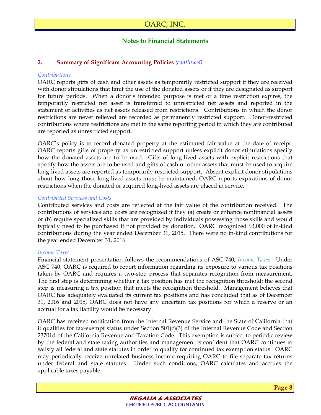# **Notes to Financial Statements**

## **2. Summary of Significant Accounting Policies** *(continued)*

#### *Contributions*

OARC reports gifts of cash and other assets as temporarily restricted support if they are received with donor stipulations that limit the use of the donated assets or if they are designated as support for future periods. When a donor's intended purpose is met or a time restriction expires, the temporarily restricted net asset is transferred to unrestricted net assets and reported in the statement of activities as net assets released from restrictions. Contributions in which the donor restrictions are never relieved are recorded as permanently restricted support. Donor-restricted contributions where restrictions are met in the same reporting period in which they are contributed are reported as unrestricted support.

OARC's policy is to record donated property at the estimated fair value at the date of receipt. OARC reports gifts of property as unrestricted support unless explicit donor stipulations specify how the donated assets are to be used. Gifts of long-lived assets with explicit restrictions that specify how the assets are to be used and gifts of cash or other assets that must be used to acquire long-lived assets are reported as temporarily restricted support. Absent explicit donor stipulations about how long those long-lived assets must be maintained, OARC reports expirations of donor restrictions when the donated or acquired long-lived assets are placed in service.

#### *Contributed Services and Costs*

Contributed services and costs are reflected at the fair value of the contribution received. The contributions of services and costs are recognized if they (a) create or enhance nonfinancial assets or (b) require specialized skills that are provided by individuals possessing those skills and would typically need to be purchased if not provided by donation. OARC recognized \$3,000 of in-kind contributions during the year ended December 31, 2015. There were no in-kind contributions for the year ended December 31, 2016.

#### *Income Taxes*

Financial statement presentation follows the recommendations of ASC 740, *Income Taxes*. Under ASC 740, OARC is required to report information regarding its exposure to various tax positions taken by OARC and requires a two-step process that separates recognition from measurement. The first step is determining whether a tax position has met the recognition threshold; the second step is measuring a tax position that meets the recognition threshold. Management believes that OARC has adequately evaluated its current tax positions and has concluded that as of December 31, 2016 and 2015, OARC does not have any uncertain tax positions for which a reserve or an accrual for a tax liability would be necessary.

OARC has received notification from the Internal Revenue Service and the State of California that it qualifies for tax-exempt status under Section 501(c)(3) of the Internal Revenue Code and Section 23701d of the California Revenue and Taxation Code. This exemption is subject to periodic review by the federal and state taxing authorities and management is confident that OARC continues to satisfy all federal and state statutes in order to qualify for continued tax exemption status. OARC may periodically receive unrelated business income requiring OARC to file separate tax returns under federal and state statutes. Under such conditions, OARC calculates and accrues the applicable taxes payable.

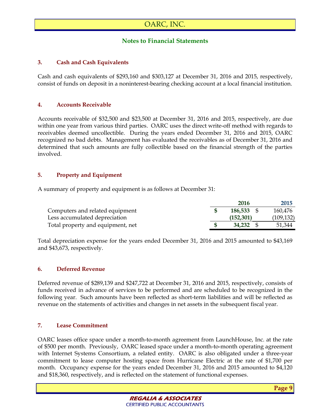# **Notes to Financial Statements**

## **3. Cash and Cash Equivalents**

Cash and cash equivalents of \$293,160 and \$303,127 at December 31, 2016 and 2015, respectively, consist of funds on deposit in a noninterest-bearing checking account at a local financial institution.

## **4. Accounts Receivable**

Accounts receivable of \$32,500 and \$23,500 at December 31, 2016 and 2015, respectively, are due within one year from various third parties. OARC uses the direct write-off method with regards to receivables deemed uncollectible. During the years ended December 31, 2016 and 2015, OARC recognized no bad debts. Management has evaluated the receivables as of December 31, 2016 and determined that such amounts are fully collectible based on the financial strength of the parties involved.

## **5. Property and Equipment**

A summary of property and equipment is as follows at December 31:

|                                   | 2016       | 2015       |
|-----------------------------------|------------|------------|
| Computers and related equipment   | 186,533 \$ | 160,476    |
| Less accumulated depreciation     | (152, 301) | (109, 132) |
| Total property and equipment, net | 34.232     | 51,344     |

Total depreciation expense for the years ended December 31, 2016 and 2015 amounted to \$43,169 and \$43,673, respectively.

## **6. Deferred Revenue**

Deferred revenue of \$289,139 and \$247,722 at December 31, 2016 and 2015, respectively, consists of funds received in advance of services to be performed and are scheduled to be recognized in the following year. Such amounts have been reflected as short-term liabilities and will be reflected as revenue on the statements of activities and changes in net assets in the subsequent fiscal year.

## **7. Lease Commitment**

OARC leases office space under a month-to-month agreement from LaunchHouse, Inc. at the rate of \$500 per month. Previously, OARC leased space under a month-to-month operating agreement with Internet Systems Consortium, a related entity. OARC is also obligated under a three-year commitment to lease computer hosting space from Hurricane Electric at the rate of \$1,700 per month. Occupancy expense for the years ended December 31, 2016 and 2015 amounted to \$4,120 and \$18,360, respectively, and is reflected on the statement of functional expenses.